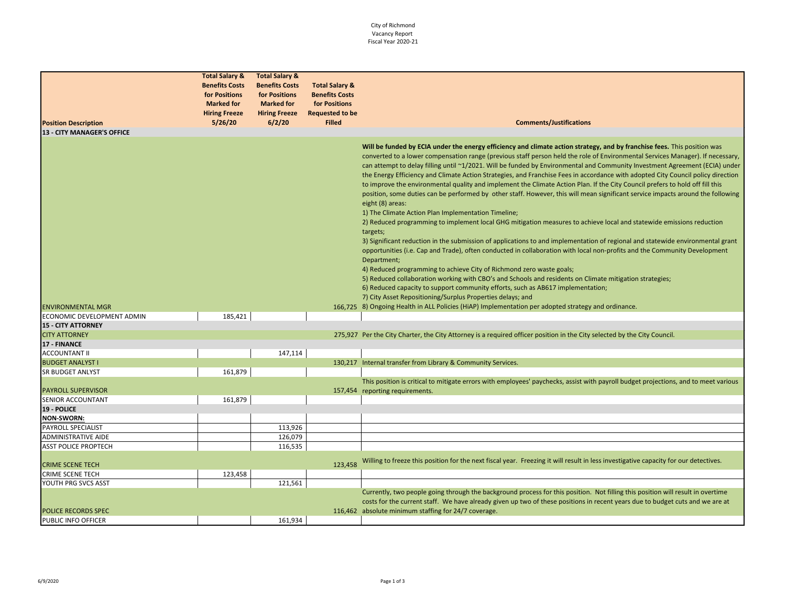## City of Richmond Vacancy Report Fiscal Year 2020-21

| <b>Position Description</b><br><b>13 - CITY MANAGER'S OFFICE</b> | <b>Total Salary &amp;</b><br><b>Benefits Costs</b><br>for Positions<br><b>Marked for</b><br><b>Hiring Freeze</b><br>5/26/20 | <b>Total Salary &amp;</b><br><b>Benefits Costs</b><br>for Positions<br><b>Marked for</b><br><b>Hiring Freeze</b><br>6/2/20 | <b>Total Salary &amp;</b><br><b>Benefits Costs</b><br>for Positions<br><b>Requested to be</b><br><b>Filled</b> | <b>Comments/Justifications</b>                                                                                                                                                                                                                                                                                                                                                                                                                                                                                                                                                                                                                                                                                                                                                                                                                                                                                                                                                                                                                                                                                                                                                                                                                                                                                                                                                                                                                                                                                                                                       |
|------------------------------------------------------------------|-----------------------------------------------------------------------------------------------------------------------------|----------------------------------------------------------------------------------------------------------------------------|----------------------------------------------------------------------------------------------------------------|----------------------------------------------------------------------------------------------------------------------------------------------------------------------------------------------------------------------------------------------------------------------------------------------------------------------------------------------------------------------------------------------------------------------------------------------------------------------------------------------------------------------------------------------------------------------------------------------------------------------------------------------------------------------------------------------------------------------------------------------------------------------------------------------------------------------------------------------------------------------------------------------------------------------------------------------------------------------------------------------------------------------------------------------------------------------------------------------------------------------------------------------------------------------------------------------------------------------------------------------------------------------------------------------------------------------------------------------------------------------------------------------------------------------------------------------------------------------------------------------------------------------------------------------------------------------|
|                                                                  |                                                                                                                             |                                                                                                                            |                                                                                                                |                                                                                                                                                                                                                                                                                                                                                                                                                                                                                                                                                                                                                                                                                                                                                                                                                                                                                                                                                                                                                                                                                                                                                                                                                                                                                                                                                                                                                                                                                                                                                                      |
|                                                                  |                                                                                                                             |                                                                                                                            |                                                                                                                | Will be funded by ECIA under the energy efficiency and climate action strategy, and by franchise fees. This position was<br>converted to a lower compensation range (previous staff person held the role of Environmental Services Manager). If necessary,<br>can attempt to delay filling until ~1/2021. Will be funded by Environmental and Community Investment Agreement (ECIA) under<br>the Energy Efficiency and Climate Action Strategies, and Franchise Fees in accordance with adopted City Council policy direction<br>to improve the environmental quality and implement the Climate Action Plan. If the City Council prefers to hold off fill this<br>position, some duties can be performed by other staff. However, this will mean significant service impacts around the following<br>eight (8) areas:<br>1) The Climate Action Plan Implementation Timeline;<br>2) Reduced programming to implement local GHG mitigation measures to achieve local and statewide emissions reduction<br>targets;<br>3) Significant reduction in the submission of applications to and implementation of regional and statewide environmental grant<br>opportunities (i.e. Cap and Trade), often conducted in collaboration with local non-profits and the Community Development<br>Department;<br>4) Reduced programming to achieve City of Richmond zero waste goals;<br>5) Reduced collaboration working with CBO's and Schools and residents on Climate mitigation strategies;<br>6) Reduced capacity to support community efforts, such as AB617 implementation; |
|                                                                  |                                                                                                                             |                                                                                                                            |                                                                                                                | 7) City Asset Repositioning/Surplus Properties delays; and                                                                                                                                                                                                                                                                                                                                                                                                                                                                                                                                                                                                                                                                                                                                                                                                                                                                                                                                                                                                                                                                                                                                                                                                                                                                                                                                                                                                                                                                                                           |
| <b>ENVIRONMENTAL MGR</b>                                         |                                                                                                                             |                                                                                                                            |                                                                                                                | 166,725 8) Ongoing Health in ALL Policies (HiAP) Implementation per adopted strategy and ordinance.                                                                                                                                                                                                                                                                                                                                                                                                                                                                                                                                                                                                                                                                                                                                                                                                                                                                                                                                                                                                                                                                                                                                                                                                                                                                                                                                                                                                                                                                  |
| ECONOMIC DEVELOPMENT ADMIN                                       | 185,421                                                                                                                     |                                                                                                                            |                                                                                                                |                                                                                                                                                                                                                                                                                                                                                                                                                                                                                                                                                                                                                                                                                                                                                                                                                                                                                                                                                                                                                                                                                                                                                                                                                                                                                                                                                                                                                                                                                                                                                                      |
| <b>15 - CITY ATTORNEY</b>                                        |                                                                                                                             |                                                                                                                            |                                                                                                                |                                                                                                                                                                                                                                                                                                                                                                                                                                                                                                                                                                                                                                                                                                                                                                                                                                                                                                                                                                                                                                                                                                                                                                                                                                                                                                                                                                                                                                                                                                                                                                      |
| <b>CITY ATTORNEY</b>                                             |                                                                                                                             |                                                                                                                            |                                                                                                                | 275,927 Per the City Charter, the City Attorney is a required officer position in the City selected by the City Council.                                                                                                                                                                                                                                                                                                                                                                                                                                                                                                                                                                                                                                                                                                                                                                                                                                                                                                                                                                                                                                                                                                                                                                                                                                                                                                                                                                                                                                             |
| 17 - FINANCE                                                     |                                                                                                                             |                                                                                                                            |                                                                                                                |                                                                                                                                                                                                                                                                                                                                                                                                                                                                                                                                                                                                                                                                                                                                                                                                                                                                                                                                                                                                                                                                                                                                                                                                                                                                                                                                                                                                                                                                                                                                                                      |
| <b>ACCOUNTANT II</b>                                             |                                                                                                                             | 147,114                                                                                                                    |                                                                                                                |                                                                                                                                                                                                                                                                                                                                                                                                                                                                                                                                                                                                                                                                                                                                                                                                                                                                                                                                                                                                                                                                                                                                                                                                                                                                                                                                                                                                                                                                                                                                                                      |
| <b>BUDGET ANALYST I</b>                                          |                                                                                                                             |                                                                                                                            |                                                                                                                | 130,217 Internal transfer from Library & Community Services.                                                                                                                                                                                                                                                                                                                                                                                                                                                                                                                                                                                                                                                                                                                                                                                                                                                                                                                                                                                                                                                                                                                                                                                                                                                                                                                                                                                                                                                                                                         |
| <b>SR BUDGET ANLYST</b>                                          | 161,879                                                                                                                     |                                                                                                                            |                                                                                                                |                                                                                                                                                                                                                                                                                                                                                                                                                                                                                                                                                                                                                                                                                                                                                                                                                                                                                                                                                                                                                                                                                                                                                                                                                                                                                                                                                                                                                                                                                                                                                                      |
|                                                                  |                                                                                                                             |                                                                                                                            |                                                                                                                | This position is critical to mitigate errors with employees' paychecks, assist with payroll budget projections, and to meet various                                                                                                                                                                                                                                                                                                                                                                                                                                                                                                                                                                                                                                                                                                                                                                                                                                                                                                                                                                                                                                                                                                                                                                                                                                                                                                                                                                                                                                  |
| <b>PAYROLL SUPERVISOR</b>                                        |                                                                                                                             |                                                                                                                            |                                                                                                                | 157,454 reporting requirements.                                                                                                                                                                                                                                                                                                                                                                                                                                                                                                                                                                                                                                                                                                                                                                                                                                                                                                                                                                                                                                                                                                                                                                                                                                                                                                                                                                                                                                                                                                                                      |
| SENIOR ACCOUNTANT<br>19 - POLICE                                 | 161,879                                                                                                                     |                                                                                                                            |                                                                                                                |                                                                                                                                                                                                                                                                                                                                                                                                                                                                                                                                                                                                                                                                                                                                                                                                                                                                                                                                                                                                                                                                                                                                                                                                                                                                                                                                                                                                                                                                                                                                                                      |
| <b>NON-SWORN:</b>                                                |                                                                                                                             |                                                                                                                            |                                                                                                                |                                                                                                                                                                                                                                                                                                                                                                                                                                                                                                                                                                                                                                                                                                                                                                                                                                                                                                                                                                                                                                                                                                                                                                                                                                                                                                                                                                                                                                                                                                                                                                      |
| <b>PAYROLL SPECIALIST</b>                                        |                                                                                                                             | 113,926                                                                                                                    |                                                                                                                |                                                                                                                                                                                                                                                                                                                                                                                                                                                                                                                                                                                                                                                                                                                                                                                                                                                                                                                                                                                                                                                                                                                                                                                                                                                                                                                                                                                                                                                                                                                                                                      |
| <b>ADMINISTRATIVE AIDE</b>                                       |                                                                                                                             | 126,079                                                                                                                    |                                                                                                                |                                                                                                                                                                                                                                                                                                                                                                                                                                                                                                                                                                                                                                                                                                                                                                                                                                                                                                                                                                                                                                                                                                                                                                                                                                                                                                                                                                                                                                                                                                                                                                      |
| <b>ASST POLICE PROPTECH</b>                                      |                                                                                                                             | 116,535                                                                                                                    |                                                                                                                |                                                                                                                                                                                                                                                                                                                                                                                                                                                                                                                                                                                                                                                                                                                                                                                                                                                                                                                                                                                                                                                                                                                                                                                                                                                                                                                                                                                                                                                                                                                                                                      |
|                                                                  |                                                                                                                             |                                                                                                                            |                                                                                                                |                                                                                                                                                                                                                                                                                                                                                                                                                                                                                                                                                                                                                                                                                                                                                                                                                                                                                                                                                                                                                                                                                                                                                                                                                                                                                                                                                                                                                                                                                                                                                                      |
| <b>CRIME SCENE TECH</b>                                          |                                                                                                                             |                                                                                                                            | 123,458                                                                                                        | Willing to freeze this position for the next fiscal year. Freezing it will result in less investigative capacity for our detectives.                                                                                                                                                                                                                                                                                                                                                                                                                                                                                                                                                                                                                                                                                                                                                                                                                                                                                                                                                                                                                                                                                                                                                                                                                                                                                                                                                                                                                                 |
| <b>CRIME SCENE TECH</b>                                          | 123,458                                                                                                                     |                                                                                                                            |                                                                                                                |                                                                                                                                                                                                                                                                                                                                                                                                                                                                                                                                                                                                                                                                                                                                                                                                                                                                                                                                                                                                                                                                                                                                                                                                                                                                                                                                                                                                                                                                                                                                                                      |
| YOUTH PRG SVCS ASST                                              |                                                                                                                             | 121,561                                                                                                                    |                                                                                                                |                                                                                                                                                                                                                                                                                                                                                                                                                                                                                                                                                                                                                                                                                                                                                                                                                                                                                                                                                                                                                                                                                                                                                                                                                                                                                                                                                                                                                                                                                                                                                                      |
|                                                                  |                                                                                                                             |                                                                                                                            |                                                                                                                | Currently, two people going through the background process for this position. Not filling this position will result in overtime<br>costs for the current staff. We have already given up two of these positions in recent years due to budget cuts and we are at                                                                                                                                                                                                                                                                                                                                                                                                                                                                                                                                                                                                                                                                                                                                                                                                                                                                                                                                                                                                                                                                                                                                                                                                                                                                                                     |
| POLICE RECORDS SPEC                                              |                                                                                                                             |                                                                                                                            |                                                                                                                | 116,462 absolute minimum staffing for 24/7 coverage.                                                                                                                                                                                                                                                                                                                                                                                                                                                                                                                                                                                                                                                                                                                                                                                                                                                                                                                                                                                                                                                                                                                                                                                                                                                                                                                                                                                                                                                                                                                 |
| PUBLIC INFO OFFICER                                              |                                                                                                                             | 161,934                                                                                                                    |                                                                                                                |                                                                                                                                                                                                                                                                                                                                                                                                                                                                                                                                                                                                                                                                                                                                                                                                                                                                                                                                                                                                                                                                                                                                                                                                                                                                                                                                                                                                                                                                                                                                                                      |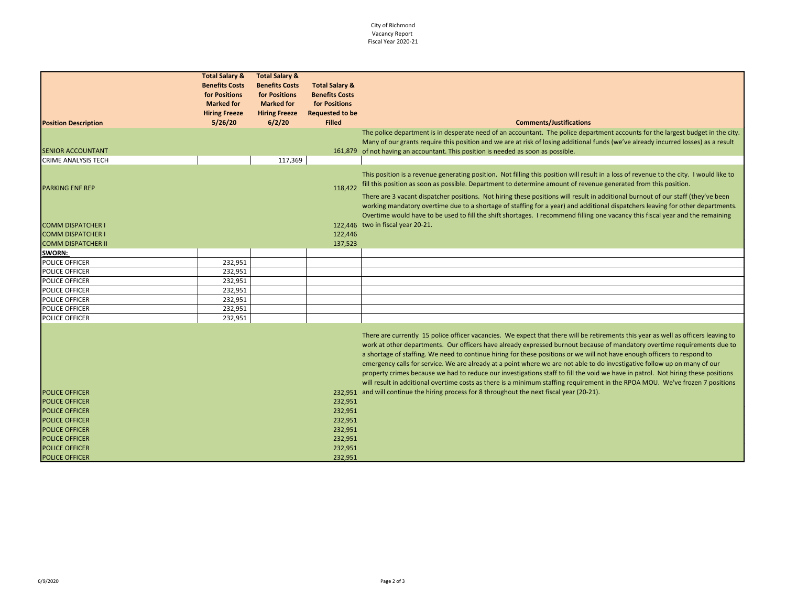## City of Richmond Vacancy Report Fiscal Year 2020-21

|                             | <b>Total Salary &amp;</b> | <b>Total Salary &amp;</b> |                           |                                                                                                                                                                                                                                                                                                                                                                                                                                                                                                                                                                                                                                                                                                                                                                                              |
|-----------------------------|---------------------------|---------------------------|---------------------------|----------------------------------------------------------------------------------------------------------------------------------------------------------------------------------------------------------------------------------------------------------------------------------------------------------------------------------------------------------------------------------------------------------------------------------------------------------------------------------------------------------------------------------------------------------------------------------------------------------------------------------------------------------------------------------------------------------------------------------------------------------------------------------------------|
|                             | <b>Benefits Costs</b>     | <b>Benefits Costs</b>     | <b>Total Salary &amp;</b> |                                                                                                                                                                                                                                                                                                                                                                                                                                                                                                                                                                                                                                                                                                                                                                                              |
|                             | for Positions             | for Positions             | <b>Benefits Costs</b>     |                                                                                                                                                                                                                                                                                                                                                                                                                                                                                                                                                                                                                                                                                                                                                                                              |
|                             | <b>Marked for</b>         | <b>Marked for</b>         | for Positions             |                                                                                                                                                                                                                                                                                                                                                                                                                                                                                                                                                                                                                                                                                                                                                                                              |
|                             | <b>Hiring Freeze</b>      | <b>Hiring Freeze</b>      | <b>Requested to be</b>    |                                                                                                                                                                                                                                                                                                                                                                                                                                                                                                                                                                                                                                                                                                                                                                                              |
| <b>Position Description</b> | 5/26/20                   | 6/2/20                    | <b>Filled</b>             | <b>Comments/Justifications</b>                                                                                                                                                                                                                                                                                                                                                                                                                                                                                                                                                                                                                                                                                                                                                               |
| <b>SENIOR ACCOUNTANT</b>    |                           |                           |                           | The police department is in desperate need of an accountant. The police department accounts for the largest budget in the city.<br>Many of our grants require this position and we are at risk of losing additional funds (we've already incurred losses) as a result<br>161,879 of not having an accountant. This position is needed as soon as possible.                                                                                                                                                                                                                                                                                                                                                                                                                                   |
| <b>CRIME ANALYSIS TECH</b>  |                           | 117,369                   |                           |                                                                                                                                                                                                                                                                                                                                                                                                                                                                                                                                                                                                                                                                                                                                                                                              |
| <b>PARKING ENF REP</b>      |                           |                           | 118,422                   | This position is a revenue generating position. Not filling this position will result in a loss of revenue to the city. I would like to<br>fill this position as soon as possible. Department to determine amount of revenue generated from this position.                                                                                                                                                                                                                                                                                                                                                                                                                                                                                                                                   |
|                             |                           |                           |                           | There are 3 vacant dispatcher positions. Not hiring these positions will result in additional burnout of our staff (they've been<br>working mandatory overtime due to a shortage of staffing for a year) and additional dispatchers leaving for other departments.<br>Overtime would have to be used to fill the shift shortages. I recommend filling one vacancy this fiscal year and the remaining                                                                                                                                                                                                                                                                                                                                                                                         |
| <b>COMM DISPATCHER I</b>    |                           |                           |                           | 122,446 two in fiscal year 20-21.                                                                                                                                                                                                                                                                                                                                                                                                                                                                                                                                                                                                                                                                                                                                                            |
| <b>COMM DISPATCHER I</b>    |                           |                           | 122,446                   |                                                                                                                                                                                                                                                                                                                                                                                                                                                                                                                                                                                                                                                                                                                                                                                              |
| <b>COMM DISPATCHER II</b>   |                           |                           | 137,523                   |                                                                                                                                                                                                                                                                                                                                                                                                                                                                                                                                                                                                                                                                                                                                                                                              |
| SWORN:                      |                           |                           |                           |                                                                                                                                                                                                                                                                                                                                                                                                                                                                                                                                                                                                                                                                                                                                                                                              |
| POLICE OFFICER              | 232,951                   |                           |                           |                                                                                                                                                                                                                                                                                                                                                                                                                                                                                                                                                                                                                                                                                                                                                                                              |
| POLICE OFFICER              | 232,951                   |                           |                           |                                                                                                                                                                                                                                                                                                                                                                                                                                                                                                                                                                                                                                                                                                                                                                                              |
| POLICE OFFICER              | 232,951                   |                           |                           |                                                                                                                                                                                                                                                                                                                                                                                                                                                                                                                                                                                                                                                                                                                                                                                              |
| POLICE OFFICER              | 232,951                   |                           |                           |                                                                                                                                                                                                                                                                                                                                                                                                                                                                                                                                                                                                                                                                                                                                                                                              |
| POLICE OFFICER              | 232,951                   |                           |                           |                                                                                                                                                                                                                                                                                                                                                                                                                                                                                                                                                                                                                                                                                                                                                                                              |
| POLICE OFFICER              | 232,951                   |                           |                           |                                                                                                                                                                                                                                                                                                                                                                                                                                                                                                                                                                                                                                                                                                                                                                                              |
| POLICE OFFICER              | 232,951                   |                           |                           |                                                                                                                                                                                                                                                                                                                                                                                                                                                                                                                                                                                                                                                                                                                                                                                              |
|                             |                           |                           |                           | There are currently 15 police officer vacancies. We expect that there will be retirements this year as well as officers leaving to<br>work at other departments. Our officers have already expressed burnout because of mandatory overtime requirements due to<br>a shortage of staffing. We need to continue hiring for these positions or we will not have enough officers to respond to<br>emergency calls for service. We are already at a point where we are not able to do investigative follow up on many of our<br>property crimes because we had to reduce our investigations staff to fill the void we have in patrol. Not hiring these positions<br>will result in additional overtime costs as there is a minimum staffing requirement in the RPOA MOU. We've frozen 7 positions |
| <b>POLICE OFFICER</b>       |                           |                           |                           | 232,951 and will continue the hiring process for 8 throughout the next fiscal year (20-21).                                                                                                                                                                                                                                                                                                                                                                                                                                                                                                                                                                                                                                                                                                  |
| <b>POLICE OFFICER</b>       |                           |                           | 232,951                   |                                                                                                                                                                                                                                                                                                                                                                                                                                                                                                                                                                                                                                                                                                                                                                                              |
| <b>POLICE OFFICER</b>       |                           |                           | 232,951                   |                                                                                                                                                                                                                                                                                                                                                                                                                                                                                                                                                                                                                                                                                                                                                                                              |
| POLICE OFFICER              |                           |                           | 232,951                   |                                                                                                                                                                                                                                                                                                                                                                                                                                                                                                                                                                                                                                                                                                                                                                                              |
| <b>POLICE OFFICER</b>       |                           |                           | 232,951                   |                                                                                                                                                                                                                                                                                                                                                                                                                                                                                                                                                                                                                                                                                                                                                                                              |
| <b>POLICE OFFICER</b>       |                           |                           | 232,951                   |                                                                                                                                                                                                                                                                                                                                                                                                                                                                                                                                                                                                                                                                                                                                                                                              |
| <b>POLICE OFFICER</b>       |                           |                           | 232,951                   |                                                                                                                                                                                                                                                                                                                                                                                                                                                                                                                                                                                                                                                                                                                                                                                              |
| POLICE OFFICER              |                           |                           | 232,951                   |                                                                                                                                                                                                                                                                                                                                                                                                                                                                                                                                                                                                                                                                                                                                                                                              |